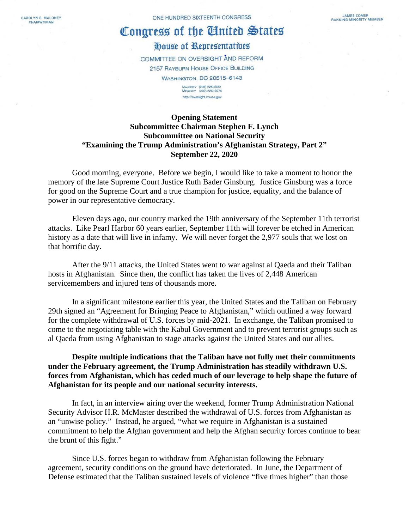CAROLYN B. MALONEY CHAIRWOMAN

# Congress of the United States

# House of Representatives

COMMITTEE ON OVERSIGHT AND REFORM 2157 RAYBURN HOUSE OFFICE BUILDING **WASHINGTON, DC 20515-6143** 

MAJORITY (202) 225-5051<br>MINORITY (202) 225-5074 http://oversight.hause.gov

## **Opening Statement Subcommittee Chairman Stephen F. Lynch Subcommittee on National Security "Examining the Trump Administration's Afghanistan Strategy, Part 2" September 22, 2020**

Good morning, everyone. Before we begin, I would like to take a moment to honor the memory of the late Supreme Court Justice Ruth Bader Ginsburg. Justice Ginsburg was a force for good on the Supreme Court and a true champion for justice, equality, and the balance of power in our representative democracy.

Eleven days ago, our country marked the 19th anniversary of the September 11th terrorist attacks. Like Pearl Harbor 60 years earlier, September 11th will forever be etched in American history as a date that will live in infamy. We will never forget the 2,977 souls that we lost on that horrific day.

After the 9/11 attacks, the United States went to war against al Qaeda and their Taliban hosts in Afghanistan. Since then, the conflict has taken the lives of 2,448 American servicemembers and injured tens of thousands more.

In a significant milestone earlier this year, the United States and the Taliban on February 29th signed an "Agreement for Bringing Peace to Afghanistan," which outlined a way forward for the complete withdrawal of U.S. forces by mid-2021. In exchange, the Taliban promised to come to the negotiating table with the Kabul Government and to prevent terrorist groups such as al Qaeda from using Afghanistan to stage attacks against the United States and our allies.

## **Despite multiple indications that the Taliban have not fully met their commitments under the February agreement, the Trump Administration has steadily withdrawn U.S. forces from Afghanistan, which has ceded much of our leverage to help shape the future of Afghanistan for its people and our national security interests.**

In fact, in an interview airing over the weekend, former Trump Administration National Security Advisor H.R. McMaster described the withdrawal of U.S. forces from Afghanistan as an "unwise policy." Instead, he argued, "what we require in Afghanistan is a sustained commitment to help the Afghan government and help the Afghan security forces continue to bear the brunt of this fight."

Since U.S. forces began to withdraw from Afghanistan following the February agreement, security conditions on the ground have deteriorated. In June, the Department of Defense estimated that the Taliban sustained levels of violence "five times higher" than those